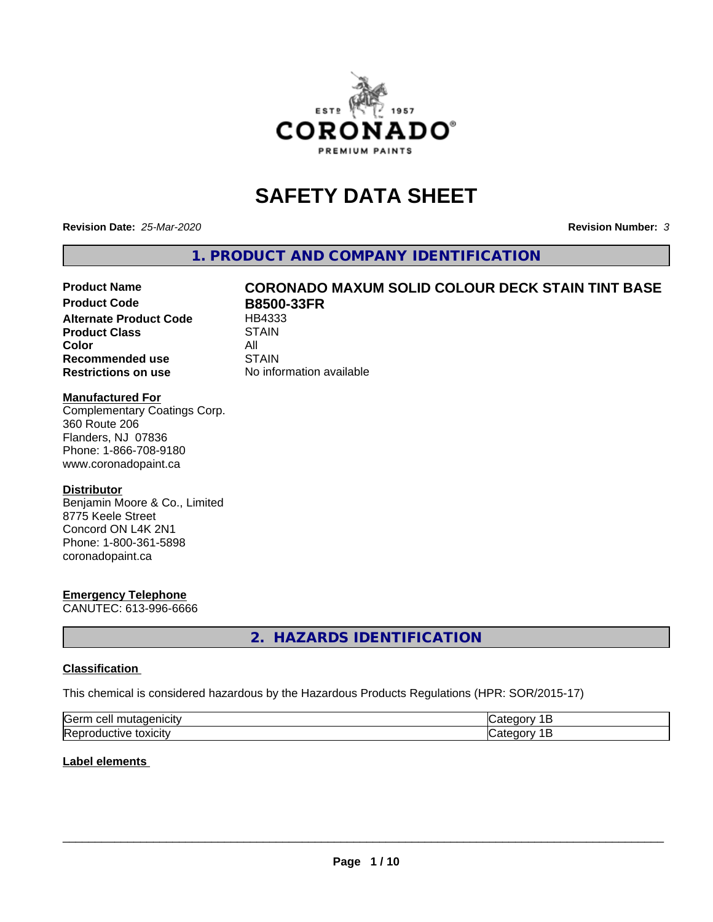

# **SAFETY DATA SHEET**

**Revision Date:** *25-Mar-2020* **Revision Number:** *3*

**1. PRODUCT AND COMPANY IDENTIFICATION**

# Product Name **CORONADO MAXUM SOLID COLOUR DECK STAIN TINT BASE**<br>Product Code **RR500-33ER**

**Alternate Product Code Product Class STAIN Color** All All<br>**Recommended use** STAIN **Recommended use Restrictions on use** No information available

**B8500-33FR**<br>HB4333

#### **Manufactured For**

Complementary Coatings Corp. 360 Route 206 Flanders, NJ 07836 Phone: 1-866-708-9180 www.coronadopaint.ca

#### **Distributor**

Benjamin Moore & Co., Limited 8775 Keele Street Concord ON L4K 2N1 Phone: 1-800-361-5898 coronadopaint.ca

#### **Emergency Telephone**

CANUTEC: 613-996-6666

**2. HAZARDS IDENTIFICATION**

#### **Classification**

This chemical is considered hazardous by the Hazardous Products Regulations (HPR: SOR/2015-17)

| <b>Serm</b><br>---<br>----<br>$\sim$<br>$\sqrt{2}$ | ----  |
|----------------------------------------------------|-------|
| Re <sub>i</sub><br>*OXICITV<br>11 L<br>и<br>ш      | - - - |

#### **Label elements**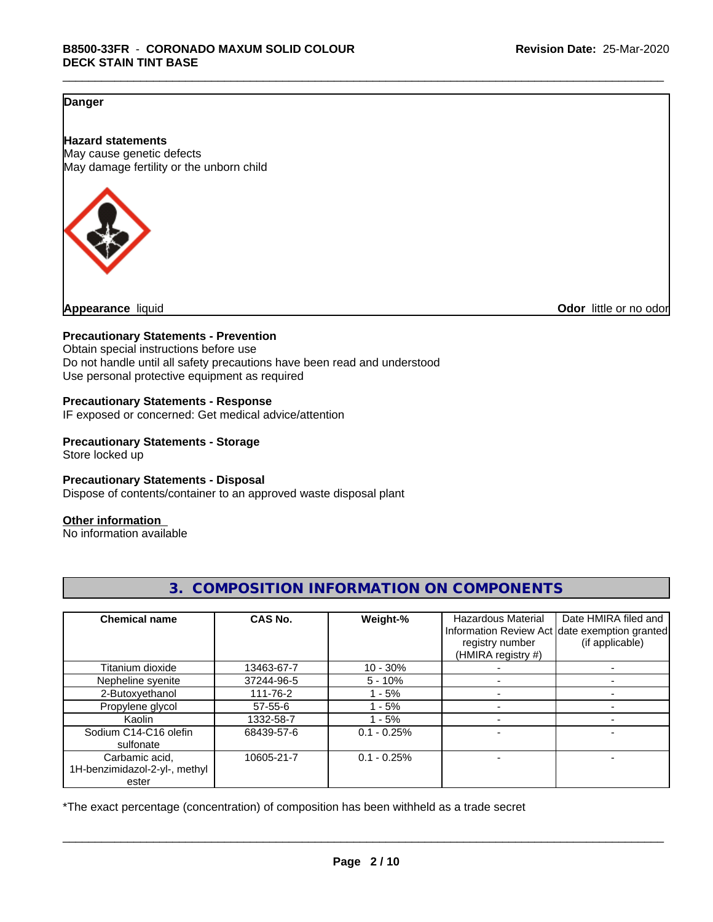#### **Danger**

**Hazard statements** May cause genetic defects May damage fertility or the unborn child



**Appearance** liquid **Odor 11** and **Odor 11** and **Odor 11** and **Odor 11** and **Odor Odor 1** and **Odor 1** and **Odor 1** and **Odor 1** and **Odor 1** and **1** and **1** and **1** and **1** and **1** and **1** and **1** and **1** and

#### **Precautionary Statements - Prevention**

Obtain special instructions before use Do not handle until all safety precautions have been read and understood Use personal protective equipment as required

#### **Precautionary Statements - Response**

IF exposed or concerned: Get medical advice/attention

#### **Precautionary Statements - Storage**

Store locked up

#### **Precautionary Statements - Disposal**

Dispose of contents/container to an approved waste disposal plant

#### **Other information**

No information available

| <b>Chemical name</b>                   | CAS No.    | Weight-%      | <b>Hazardous Material</b><br>registry number<br>(HMIRA registry #) | Date HMIRA filed and<br>Information Review Act date exemption granted<br>(if applicable) |
|----------------------------------------|------------|---------------|--------------------------------------------------------------------|------------------------------------------------------------------------------------------|
| Titanium dioxide                       | 13463-67-7 | $10 - 30%$    |                                                                    |                                                                                          |
| Nepheline syenite                      | 37244-96-5 | $5 - 10\%$    |                                                                    |                                                                                          |
| 2-Butoxyethanol                        | 111-76-2   | $-5%$         |                                                                    |                                                                                          |
| Propylene glycol                       | 57-55-6    | $1 - 5%$      |                                                                    |                                                                                          |
| Kaolin                                 | 1332-58-7  | $-5%$         |                                                                    |                                                                                          |
| Sodium C14-C16 olefin<br>sulfonate     | 68439-57-6 | $0.1 - 0.25%$ |                                                                    |                                                                                          |
| Carbamic acid,                         | 10605-21-7 | $0.1 - 0.25%$ |                                                                    |                                                                                          |
| 1H-benzimidazol-2-yl-, methyl<br>ester |            |               |                                                                    |                                                                                          |

**3. COMPOSITION INFORMATION ON COMPONENTS**

\*The exact percentage (concentration) of composition has been withheld as a trade secret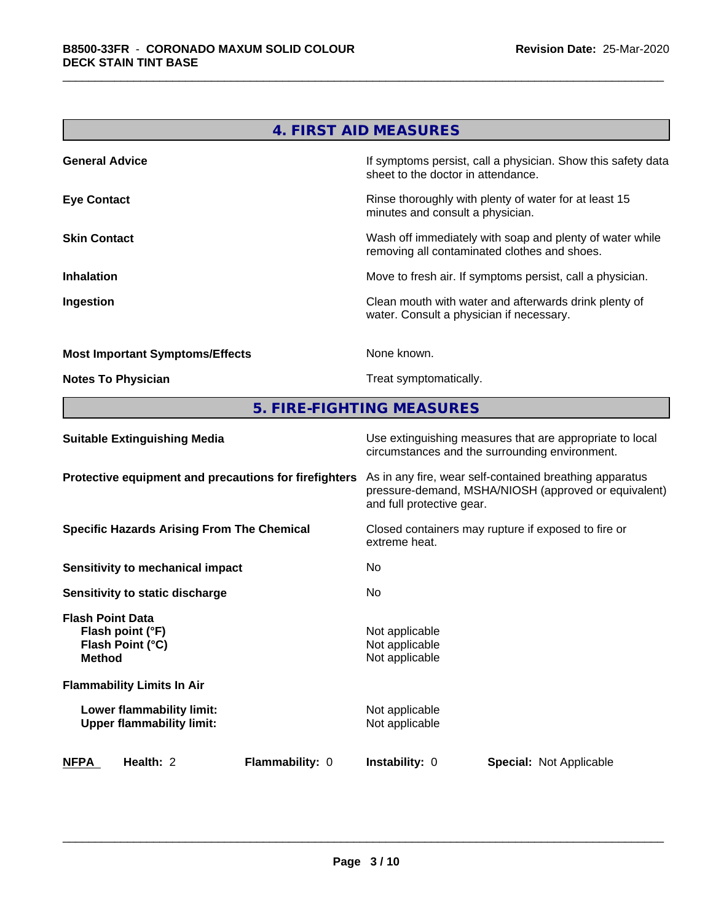| 4. FIRST AID MEASURES                  |                                                                                                          |  |
|----------------------------------------|----------------------------------------------------------------------------------------------------------|--|
| <b>General Advice</b>                  | If symptoms persist, call a physician. Show this safety data<br>sheet to the doctor in attendance.       |  |
| <b>Eye Contact</b>                     | Rinse thoroughly with plenty of water for at least 15<br>minutes and consult a physician.                |  |
| <b>Skin Contact</b>                    | Wash off immediately with soap and plenty of water while<br>removing all contaminated clothes and shoes. |  |
| <b>Inhalation</b>                      | Move to fresh air. If symptoms persist, call a physician.                                                |  |
| Ingestion                              | Clean mouth with water and afterwards drink plenty of<br>water. Consult a physician if necessary.        |  |
| <b>Most Important Symptoms/Effects</b> | None known.                                                                                              |  |
| <b>Notes To Physician</b>              | Treat symptomatically.                                                                                   |  |

**5. FIRE-FIGHTING MEASURES**

| <b>Suitable Extinguishing Media</b>                                              | Use extinguishing measures that are appropriate to local<br>circumstances and the surrounding environment.                                   |  |  |
|----------------------------------------------------------------------------------|----------------------------------------------------------------------------------------------------------------------------------------------|--|--|
| Protective equipment and precautions for firefighters                            | As in any fire, wear self-contained breathing apparatus<br>pressure-demand, MSHA/NIOSH (approved or equivalent)<br>and full protective gear. |  |  |
| <b>Specific Hazards Arising From The Chemical</b>                                | Closed containers may rupture if exposed to fire or<br>extreme heat.                                                                         |  |  |
| Sensitivity to mechanical impact                                                 | No.                                                                                                                                          |  |  |
| Sensitivity to static discharge                                                  | No.                                                                                                                                          |  |  |
| <b>Flash Point Data</b><br>Flash point (°F)<br>Flash Point (°C)<br><b>Method</b> | Not applicable<br>Not applicable<br>Not applicable                                                                                           |  |  |
| <b>Flammability Limits In Air</b>                                                |                                                                                                                                              |  |  |
| Lower flammability limit:<br><b>Upper flammability limit:</b>                    | Not applicable<br>Not applicable                                                                                                             |  |  |
| <b>NFPA</b><br>Health: 2<br><b>Flammability: 0</b>                               | <b>Instability: 0</b><br><b>Special:</b> Not Applicable                                                                                      |  |  |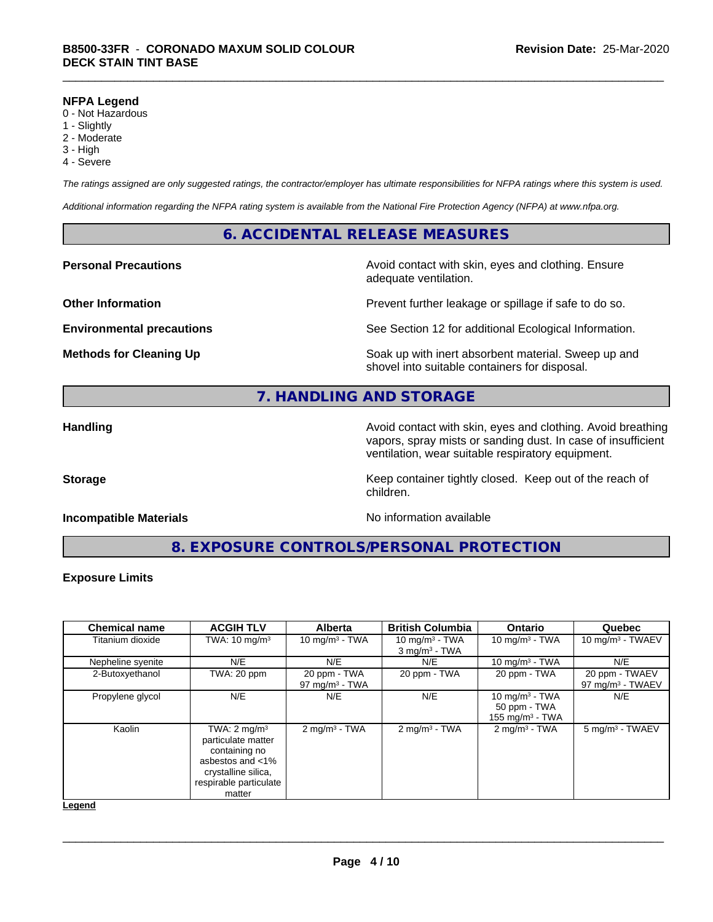#### **NFPA Legend**

- 0 Not Hazardous
- 1 Slightly
- 2 Moderate
- 3 High
- 4 Severe

*The ratings assigned are only suggested ratings, the contractor/employer has ultimate responsibilities for NFPA ratings where this system is used.*

*Additional information regarding the NFPA rating system is available from the National Fire Protection Agency (NFPA) at www.nfpa.org.*

#### **6. ACCIDENTAL RELEASE MEASURES**

**Personal Precautions Avoid contact with skin, eyes and clothing. Ensure** Avoid contact with skin, eyes and clothing. Ensure adequate ventilation.

**Other Information Department Information Department Intervent further leakage or spillage if safe to do so.** 

**Environmental precautions** See Section 12 for additional Ecological Information.

**Methods for Cleaning Up Example 20 Soak** up with inert absorbent material. Sweep up and shovel into suitable containers for disposal.

### **7. HANDLING AND STORAGE**

**Handling Avoid contact with skin, eyes and clothing. Avoid breathing Handling Avoid breathing** vapors, spray mists or sanding dust. In case of insufficient ventilation, wear suitable respiratory equipment.

**Storage** Storage **Keep container tightly closed.** Keep out of the reach of

#### **Incompatible Materials Incompatible Materials No information available**

**8. EXPOSURE CONTROLS/PERSONAL PROTECTION**

children.

#### **Exposure Limits**

| <b>Chemical name</b> | <b>ACGIH TLV</b>                                                                                                                                 | <b>Alberta</b>                    | <b>British Columbia</b>                          | <b>Ontario</b>                                                  | Quebec                                |
|----------------------|--------------------------------------------------------------------------------------------------------------------------------------------------|-----------------------------------|--------------------------------------------------|-----------------------------------------------------------------|---------------------------------------|
| Titanium dioxide     | TWA: $10 \text{ mg/m}^3$                                                                                                                         | 10 mg/m $3 - TWA$                 | 10 mg/m $3$ - TWA<br>$3$ mg/m <sup>3</sup> - TWA | 10 mg/m $3$ - TWA                                               | 10 mg/m $3$ - TWAEV                   |
| Nepheline syenite    | N/E                                                                                                                                              | N/E                               | N/E                                              | 10 mg/m $3$ - TWA                                               | N/E                                   |
| 2-Butoxyethanol      | TWA: 20 ppm                                                                                                                                      | 20 ppm - TWA<br>97 mg/m $3$ - TWA | 20 ppm - TWA                                     | 20 ppm - TWA                                                    | 20 ppm - TWAEV<br>97 mg/m $3$ - TWAEV |
| Propylene glycol     | N/E                                                                                                                                              | N/E                               | N/E                                              | 10 mg/m $3$ - TWA<br>50 ppm - TWA<br>$155 \text{ mg/m}^3$ - TWA | N/E                                   |
| Kaolin               | TWA: $2 \text{ mg/m}^3$<br>particulate matter<br>containing no<br>asbestos and $<$ 1%<br>crystalline silica,<br>respirable particulate<br>matter | $2$ mg/m <sup>3</sup> - TWA       | $2$ mg/m <sup>3</sup> - TWA                      | $2 \text{mq/m}^3$ - TWA                                         | 5 mg/m <sup>3</sup> - TWAEV           |

**Legend**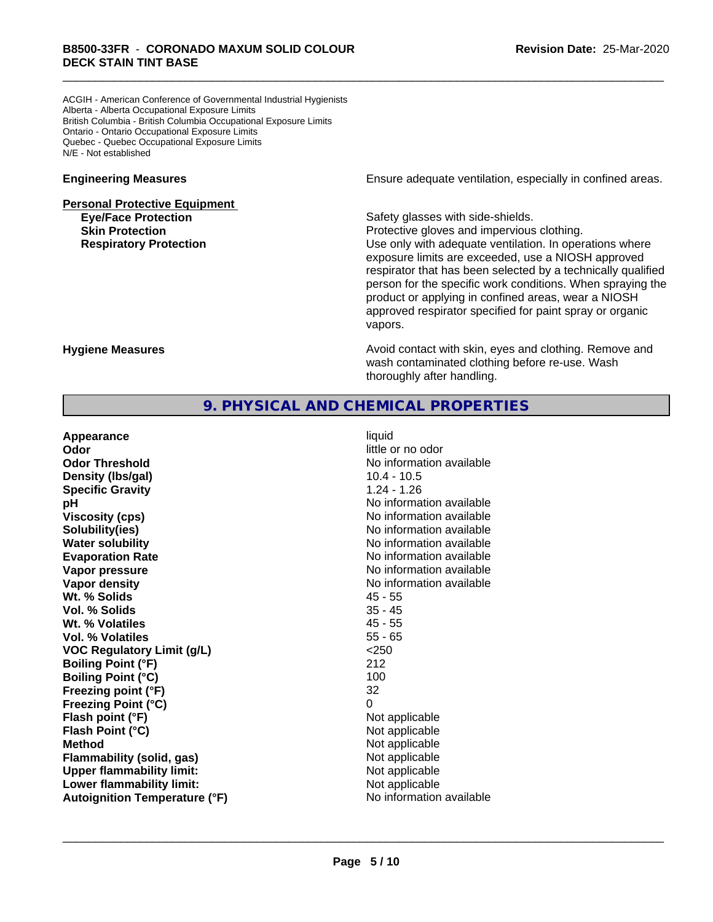ACGIH - American Conference of Governmental Industrial Hygienists Alberta - Alberta Occupational Exposure Limits British Columbia - British Columbia Occupational Exposure Limits Ontario - Ontario Occupational Exposure Limits Quebec - Quebec Occupational Exposure Limits N/E - Not established

## **Personal Protective Equipment Eye/Face Protection Safety glasses with side-shields.**

**Engineering Measures Engineering Measures Engineering Measures Ensure adequate ventilation, especially in confined areas.** 

**Skin Protection Protection Protective gloves and impervious clothing. Respiratory Protection Exercise 2018** Use only with adequate ventilation. In operations where exposure limits are exceeded, use a NIOSH approved respirator that has been selected by a technically qualified person for the specific work conditions. When spraying the product or applying in confined areas, wear a NIOSH approved respirator specified for paint spray or organic vapors.

**Hygiene Measures Avoid contact with skin, eyes and clothing. Remove and Avoid contact with skin, eyes and clothing. Remove and Avoid contact with skin, eyes and clothing. Remove and** wash contaminated clothing before re-use. Wash thoroughly after handling.

#### **9. PHYSICAL AND CHEMICAL PROPERTIES**

| Appearance                           | liquid                   |
|--------------------------------------|--------------------------|
| Odor                                 | little or no odor        |
| <b>Odor Threshold</b>                | No information available |
| Density (Ibs/gal)                    | $10.4 - 10.5$            |
| <b>Specific Gravity</b>              | $1.24 - 1.26$            |
| pH                                   | No information available |
| <b>Viscosity (cps)</b>               | No information available |
| Solubility(ies)                      | No information available |
| <b>Water solubility</b>              | No information available |
| <b>Evaporation Rate</b>              | No information available |
| Vapor pressure                       | No information available |
| Vapor density                        | No information available |
| Wt. % Solids                         | 45 - 55                  |
| Vol. % Solids                        | $35 - 45$                |
| Wt. % Volatiles                      | $45 - 55$                |
| Vol. % Volatiles                     | $55 - 65$                |
| <b>VOC Regulatory Limit (g/L)</b>    | < 250                    |
| <b>Boiling Point (°F)</b>            | 212                      |
| <b>Boiling Point (°C)</b>            | 100                      |
| Freezing point (°F)                  | 32                       |
| <b>Freezing Point (°C)</b>           | 0                        |
| Flash point (°F)                     | Not applicable           |
| Flash Point (°C)                     | Not applicable           |
| <b>Method</b>                        | Not applicable           |
| Flammability (solid, gas)            | Not applicable           |
| <b>Upper flammability limit:</b>     | Not applicable           |
| Lower flammability limit:            | Not applicable           |
| <b>Autoignition Temperature (°F)</b> | No information available |
|                                      |                          |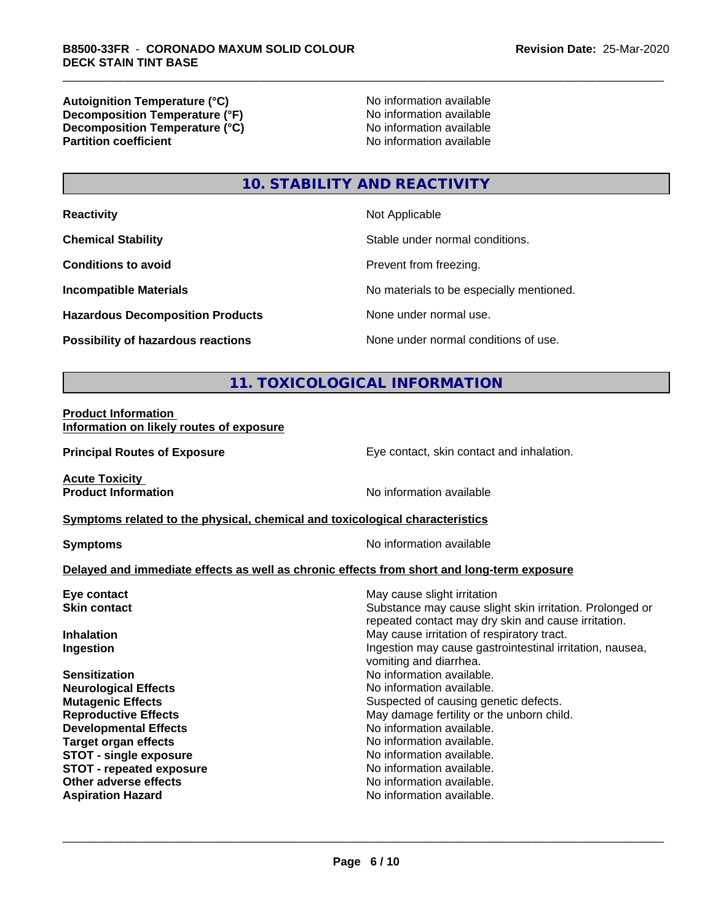**Autoignition Temperature (°C)**<br> **Decomposition Temperature (°F)** No information available **Decomposition Temperature (°F)**<br> **Decomposition Temperature (°C)**<br>
No information available **Decomposition Temperature (°C) Partition coefficient** 

### **10. STABILITY AND REACTIVITY**

| <b>Reactivity</b>                         | Not Applicable                           |
|-------------------------------------------|------------------------------------------|
| <b>Chemical Stability</b>                 | Stable under normal conditions.          |
| <b>Conditions to avoid</b>                | Prevent from freezing.                   |
| <b>Incompatible Materials</b>             | No materials to be especially mentioned. |
| <b>Hazardous Decomposition Products</b>   | None under normal use.                   |
| <b>Possibility of hazardous reactions</b> | None under normal conditions of use.     |

### **11. TOXICOLOGICAL INFORMATION**

#### **Product Information Information on likely routes of exposure**

**Principal Routes of Exposure Exposure** Eye contact, skin contact and inhalation.

**Acute Toxicity** 

**Product Information** No information available

#### **Symptoms** related to the physical, chemical and toxicological characteristics

**Symptoms** No information available

#### **Delayed and immediate effects as well as chronic effects from short and long-term exposure**

| Eye contact                     | May cause slight irritation                                                                                     |
|---------------------------------|-----------------------------------------------------------------------------------------------------------------|
| <b>Skin contact</b>             | Substance may cause slight skin irritation. Prolonged or<br>repeated contact may dry skin and cause irritation. |
| <b>Inhalation</b>               | May cause irritation of respiratory tract.                                                                      |
| Ingestion                       | Ingestion may cause gastrointestinal irritation, nausea,<br>vomiting and diarrhea.                              |
| <b>Sensitization</b>            | No information available.                                                                                       |
| <b>Neurological Effects</b>     | No information available.                                                                                       |
| <b>Mutagenic Effects</b>        | Suspected of causing genetic defects.                                                                           |
| <b>Reproductive Effects</b>     | May damage fertility or the unborn child.                                                                       |
| <b>Developmental Effects</b>    | No information available.                                                                                       |
| Target organ effects            | No information available.                                                                                       |
| <b>STOT - single exposure</b>   | No information available.                                                                                       |
| <b>STOT - repeated exposure</b> | No information available.                                                                                       |
| Other adverse effects           | No information available.                                                                                       |
| <b>Aspiration Hazard</b>        | No information available.                                                                                       |
|                                 |                                                                                                                 |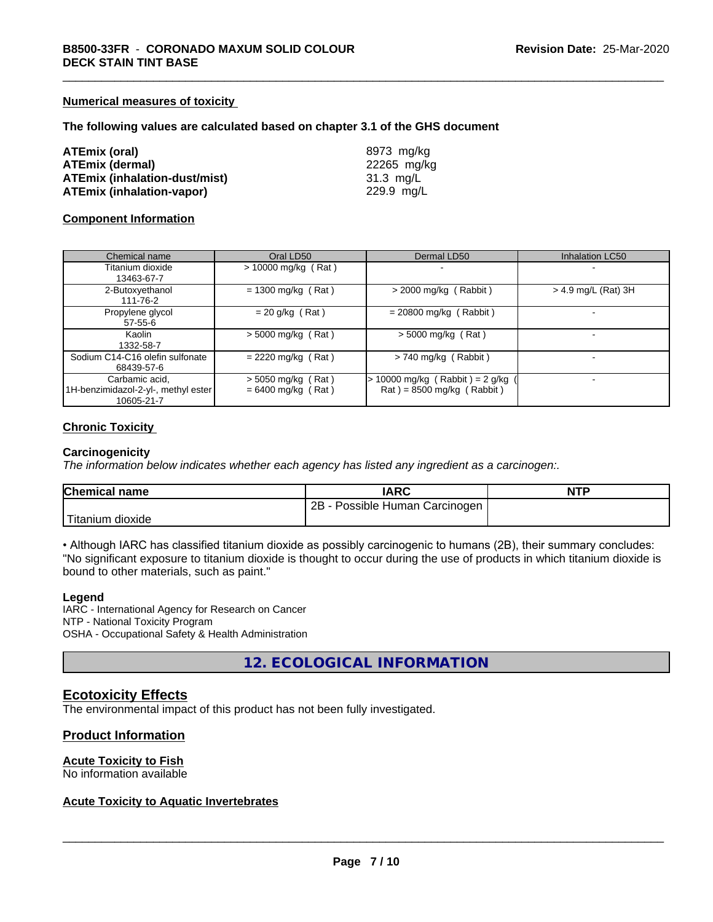#### **Numerical measures of toxicity**

#### **The following values are calculated based on chapter 3.1 of the GHS document**

| ATEmix (oral)                        | 8973 mg/kg  |
|--------------------------------------|-------------|
| <b>ATEmix (dermal)</b>               | 22265 mg/kg |
| <b>ATEmix (inhalation-dust/mist)</b> | 31.3 mg/L   |
| <b>ATEmix (inhalation-vapor)</b>     | 229.9 mg/L  |

#### **Component Information**

| Chemical name                                                       | Oral LD50                                    | Dermal LD50                                                           | <b>Inhalation LC50</b> |
|---------------------------------------------------------------------|----------------------------------------------|-----------------------------------------------------------------------|------------------------|
| Titanium dioxide<br>13463-67-7                                      | $> 10000$ mg/kg (Rat)                        |                                                                       |                        |
| 2-Butoxyethanol<br>111-76-2                                         | $= 1300$ mg/kg (Rat)                         | $>$ 2000 mg/kg (Rabbit)                                               | > 4.9 mg/L (Rat) 3H    |
| Propylene glycol<br>$57 - 55 - 6$                                   | $= 20$ g/kg (Rat)                            | $= 20800$ mg/kg (Rabbit)                                              |                        |
| Kaolin<br>1332-58-7                                                 | $> 5000$ mg/kg (Rat)                         | $> 5000$ mg/kg (Rat)                                                  |                        |
| Sodium C14-C16 olefin sulfonate<br>68439-57-6                       | $= 2220$ mg/kg (Rat)                         | $> 740$ mg/kg (Rabbit)                                                |                        |
| Carbamic acid,<br>1H-benzimidazol-2-yl-, methyl ester<br>10605-21-7 | $> 5050$ mg/kg (Rat)<br>$= 6400$ mg/kg (Rat) | 10000 mg/kg (Rabbit) = $2$ g/kg<br>$\text{Rat}$ = 8500 mg/kg (Rabbit) |                        |

#### **Chronic Toxicity**

#### **Carcinogenicity**

*The information below indicateswhether each agency has listed any ingredient as a carcinogen:.*

| <b>Chemical name</b> | IARC                                | <b>NTP</b> |
|----------------------|-------------------------------------|------------|
|                      | $2B -$<br>Possible Human Carcinogen |            |
| 'Titanium<br>dioxide |                                     |            |

• Although IARC has classified titanium dioxide as possibly carcinogenic to humans (2B), their summary concludes: "No significant exposure to titanium dioxide is thought to occur during the use of products in which titanium dioxide is bound to other materials, such as paint."

#### **Legend**

IARC - International Agency for Research on Cancer NTP - National Toxicity Program OSHA - Occupational Safety & Health Administration

**12. ECOLOGICAL INFORMATION**

#### **Ecotoxicity Effects**

The environmental impact of this product has not been fully investigated.

#### **Product Information**

#### **Acute Toxicity to Fish**

No information available

#### **Acute Toxicity to Aquatic Invertebrates**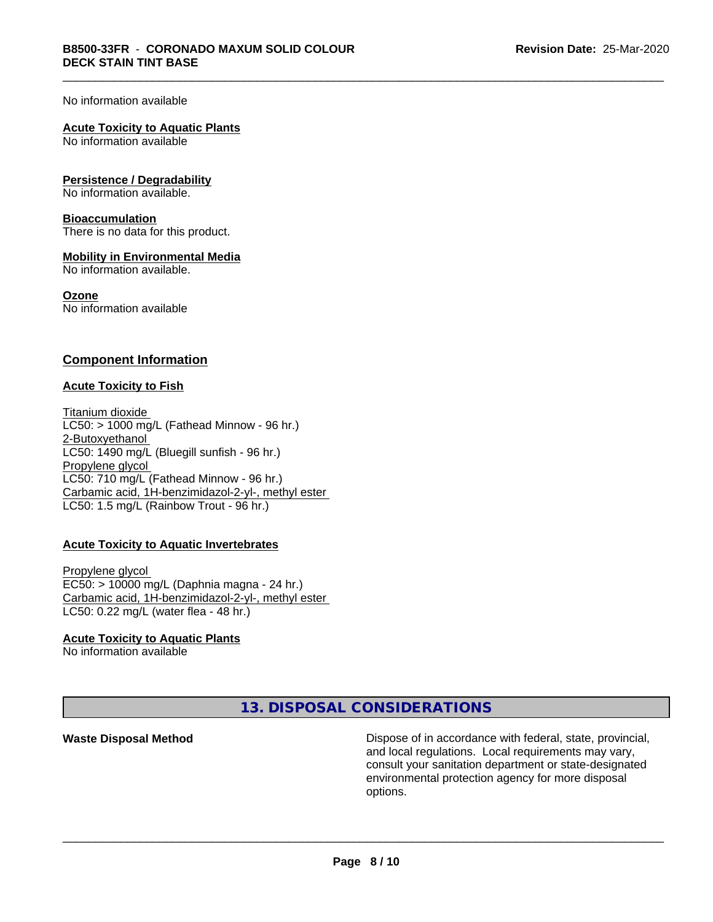#### No information available

#### **Acute Toxicity to Aquatic Plants**

No information available

#### **Persistence / Degradability**

No information available.

#### **Bioaccumulation**

There is no data for this product.

#### **Mobility in Environmental Media**

No information available.

#### **Ozone**

No information available

#### **Component Information**

#### **Acute Toxicity to Fish**

Titanium dioxide  $LC50:$  > 1000 mg/L (Fathead Minnow - 96 hr.) 2-Butoxyethanol LC50: 1490 mg/L (Bluegill sunfish - 96 hr.) Propylene glycol LC50: 710 mg/L (Fathead Minnow - 96 hr.) Carbamic acid, 1H-benzimidazol-2-yl-, methyl ester LC50: 1.5 mg/L (Rainbow Trout - 96 hr.)

#### **Acute Toxicity to Aquatic Invertebrates**

Propylene glycol EC50: > 10000 mg/L (Daphnia magna - 24 hr.) Carbamic acid, 1H-benzimidazol-2-yl-, methyl ester LC50: 0.22 mg/L (water flea - 48 hr.)

#### **Acute Toxicity to Aquatic Plants**

No information available

**13. DISPOSAL CONSIDERATIONS**

**Waste Disposal Method Dispose of in accordance with federal, state, provincial,** and local regulations. Local requirements may vary, consult your sanitation department or state-designated environmental protection agency for more disposal options.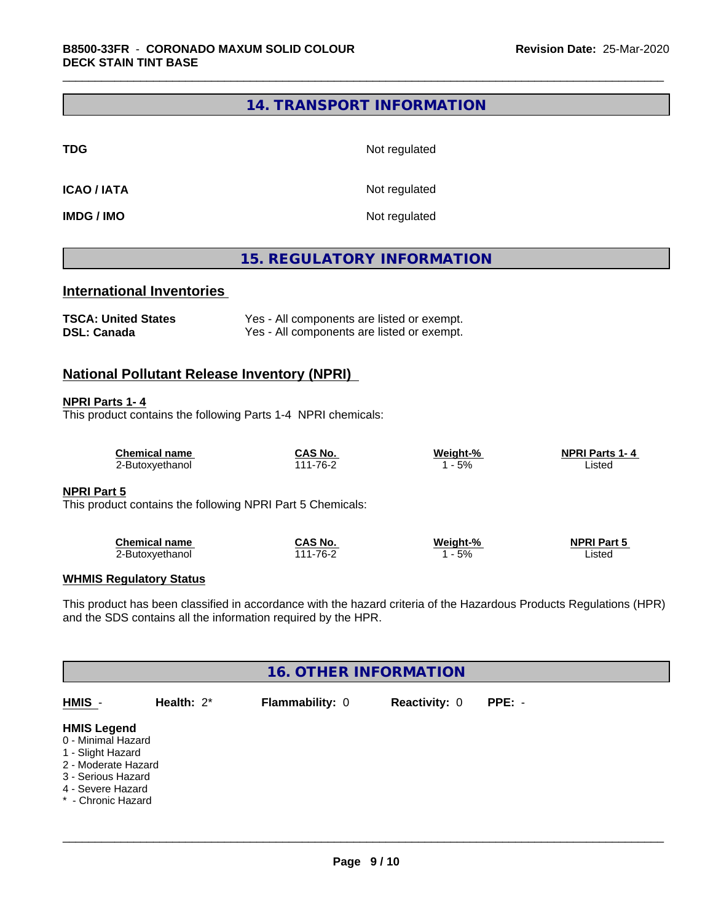#### **14. TRANSPORT INFORMATION**

**TDG** Not regulated

**ICAO / IATA** Not regulated

**IMDG / IMO** Not regulated

### **15. REGULATORY INFORMATION**

#### **International Inventories**

| <b>TSCA: United States</b> | Yes - All components are listed or exempt. |
|----------------------------|--------------------------------------------|
| <b>DSL: Canada</b>         | Yes - All components are listed or exempt. |

#### **National Pollutant Release Inventory (NPRI)**

#### **NPRI Parts 1- 4**

This product contains the following Parts 1-4 NPRI chemicals:

| <b>Chemical name</b> | CAS No. | Weight-% | <b>NPRI Parts 1-4</b> |  |
|----------------------|---------|----------|-----------------------|--|
| -Butoxvethanol       | ⊥-76-Ղ  | 5%       | .istec<br>.           |  |

#### **NPRI Part 5**

This product contains the following NPRI Part 5 Chemicals:

| <b>Chemical name</b> | CAS No            | Weight-% | <b>NPRI Part 5</b> |  |
|----------------------|-------------------|----------|--------------------|--|
| 2-Butoxvethanol      | $1 - 76 -$<br>177 | 5%       | Listed             |  |

#### **WHMIS Regulatory Status**

This product has been classified in accordance with the hazard criteria of the Hazardous Products Regulations (HPR) and the SDS contains all the information required by the HPR.

| <b>16. OTHER INFORMATION</b>                                                                                                                          |               |                 |                      |          |  |
|-------------------------------------------------------------------------------------------------------------------------------------------------------|---------------|-----------------|----------------------|----------|--|
| HMIS -                                                                                                                                                | Health: $2^*$ | Flammability: 0 | <b>Reactivity: 0</b> | $PPE: -$ |  |
| <b>HMIS Legend</b><br>0 - Minimal Hazard<br>1 - Slight Hazard<br>2 - Moderate Hazard<br>3 - Serious Hazard<br>4 - Severe Hazard<br>* - Chronic Hazard |               |                 |                      |          |  |